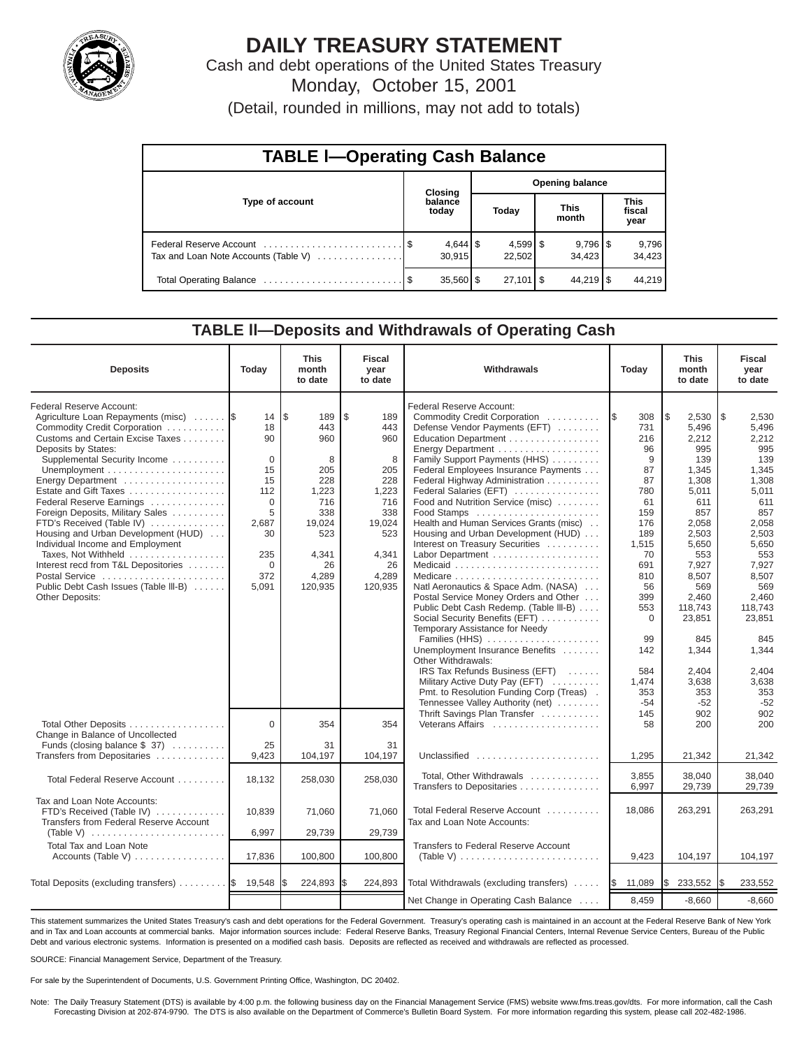

# **DAILY TREASURY STATEMENT**

Cash and debt operations of the United States Treasury Monday, October 15, 2001

(Detail, rounded in millions, may not add to totals)

| <b>TABLE I-Operating Cash Balance</b> |                  |             |                        |                              |  |                        |  |                               |  |  |  |
|---------------------------------------|------------------|-------------|------------------------|------------------------------|--|------------------------|--|-------------------------------|--|--|--|
|                                       |                  | Closing     | <b>Opening balance</b> |                              |  |                        |  |                               |  |  |  |
| Type of account                       | balance<br>today |             |                        | Today                        |  | <b>This</b><br>month   |  | <b>This</b><br>fiscal<br>year |  |  |  |
| Tax and Loan Note Accounts (Table V)  |                  | 30.915      |                        | $4,599$ $\sqrt{5}$<br>22,502 |  | $9,796$ \ \$<br>34.423 |  | 9,796<br>34,423               |  |  |  |
|                                       |                  | $35,560$ \$ |                        | $27,101$ $\sqrt{5}$          |  | $44.219$ S             |  | 44.219                        |  |  |  |

#### **TABLE ll—Deposits and Withdrawals of Operating Cash**

| <b>Deposits</b>                                                                                                                                                                                                                                                                                                                                                                                                                                                                                                                                             | Today                                                                                                                  | <b>This</b><br>month<br>to date                                                                                         | <b>Fiscal</b><br>year<br>to date                                                                                      | Withdrawals<br>Today                                                                                                                                                                                                                                                                                                                                                                                                                                                                                                                                                                                                                                                                                                                                                                                                                                                                                                                   |                                                                                                                                                                                                       | <b>This</b><br>month<br>to date                                                                                                                                                                                                          | <b>Fiscal</b><br>year<br>to date                                                                                                                                                                                                        |
|-------------------------------------------------------------------------------------------------------------------------------------------------------------------------------------------------------------------------------------------------------------------------------------------------------------------------------------------------------------------------------------------------------------------------------------------------------------------------------------------------------------------------------------------------------------|------------------------------------------------------------------------------------------------------------------------|-------------------------------------------------------------------------------------------------------------------------|-----------------------------------------------------------------------------------------------------------------------|----------------------------------------------------------------------------------------------------------------------------------------------------------------------------------------------------------------------------------------------------------------------------------------------------------------------------------------------------------------------------------------------------------------------------------------------------------------------------------------------------------------------------------------------------------------------------------------------------------------------------------------------------------------------------------------------------------------------------------------------------------------------------------------------------------------------------------------------------------------------------------------------------------------------------------------|-------------------------------------------------------------------------------------------------------------------------------------------------------------------------------------------------------|------------------------------------------------------------------------------------------------------------------------------------------------------------------------------------------------------------------------------------------|-----------------------------------------------------------------------------------------------------------------------------------------------------------------------------------------------------------------------------------------|
| Federal Reserve Account:<br>Agriculture Loan Repayments (misc)<br>Commodity Credit Corporation<br>Customs and Certain Excise Taxes<br>Deposits by States:<br>Supplemental Security Income<br>Energy Department<br>Estate and Gift Taxes<br>Federal Reserve Earnings<br>Foreign Deposits, Military Sales<br>FTD's Received (Table IV)<br>Housing and Urban Development (HUD)<br>Individual Income and Employment<br>Taxes, Not Withheld<br>Interest recd from T&L Depositories<br>Postal Service<br>Public Debt Cash Issues (Table III-B)<br>Other Deposits: | 14<br>18<br>90<br>$\mathbf 0$<br>15<br>15<br>112<br>$\Omega$<br>5<br>2,687<br>30<br>235<br>$\mathbf 0$<br>372<br>5,091 | l \$<br>189<br>443<br>960<br>8<br>205<br>228<br>1,223<br>716<br>338<br>19,024<br>523<br>4,341<br>26<br>4,289<br>120,935 | \$<br>189<br>443<br>960<br>8<br>205<br>228<br>1,223<br>716<br>338<br>19,024<br>523<br>4,341<br>26<br>4,289<br>120,935 | Federal Reserve Account:<br>Commodity Credit Corporation<br>Defense Vendor Payments (EFT)<br>Education Department<br>Energy Department<br>Family Support Payments (HHS)<br>Federal Employees Insurance Payments<br>Federal Highway Administration<br>Federal Salaries (EFT)<br>Food and Nutrition Service (misc)<br>Food Stamps<br>Health and Human Services Grants (misc)<br>Housing and Urban Development (HUD)<br>Interest on Treasury Securities<br>Labor Department<br>Natl Aeronautics & Space Adm. (NASA)<br>Postal Service Money Orders and Other<br>Public Debt Cash Redemp. (Table III-B)<br>Social Security Benefits (EFT)<br>Temporary Assistance for Needy<br>Families (HHS)<br>Unemployment Insurance Benefits<br>Other Withdrawals:<br>IRS Tax Refunds Business (EFT)<br>Military Active Duty Pay (EFT)<br>Pmt. to Resolution Funding Corp (Treas).<br>Tennessee Valley Authority (net)<br>Thrift Savings Plan Transfer | 308<br>1\$<br>731<br>216<br>96<br>9<br>87<br>87<br>780<br>61<br>159<br>176<br>189<br>1,515<br>70<br>691<br>810<br>56<br>399<br>553<br>$\mathbf 0$<br>99<br>142<br>584<br>1,474<br>353<br>$-54$<br>145 | l \$<br>2,530<br>5,496<br>2,212<br>995<br>139<br>1,345<br>1,308<br>5,011<br>611<br>857<br>2,058<br>2,503<br>5,650<br>553<br>7,927<br>8,507<br>569<br>2,460<br>118,743<br>23,851<br>845<br>1,344<br>2.404<br>3,638<br>353<br>$-52$<br>902 | I\$<br>2,530<br>5,496<br>2,212<br>995<br>139<br>1,345<br>1,308<br>5,011<br>611<br>857<br>2,058<br>2,503<br>5,650<br>553<br>7,927<br>8,507<br>569<br>2,460<br>118,743<br>23,851<br>845<br>1,344<br>2.404<br>3,638<br>353<br>$-52$<br>902 |
| Total Other Deposits<br>Change in Balance of Uncollected<br>Funds (closing balance \$37)                                                                                                                                                                                                                                                                                                                                                                                                                                                                    | $\Omega$<br>25                                                                                                         | 354<br>31                                                                                                               | 354<br>31                                                                                                             | Veterans Affairs                                                                                                                                                                                                                                                                                                                                                                                                                                                                                                                                                                                                                                                                                                                                                                                                                                                                                                                       | 58                                                                                                                                                                                                    | 200                                                                                                                                                                                                                                      | 200                                                                                                                                                                                                                                     |
| Transfers from Depositaries                                                                                                                                                                                                                                                                                                                                                                                                                                                                                                                                 | 9,423                                                                                                                  | 104,197                                                                                                                 | 104,197                                                                                                               | Unclassified                                                                                                                                                                                                                                                                                                                                                                                                                                                                                                                                                                                                                                                                                                                                                                                                                                                                                                                           | 1,295                                                                                                                                                                                                 | 21,342                                                                                                                                                                                                                                   | 21,342                                                                                                                                                                                                                                  |
| Total Federal Reserve Account                                                                                                                                                                                                                                                                                                                                                                                                                                                                                                                               | 18,132                                                                                                                 | 258,030                                                                                                                 | 258,030                                                                                                               | Total, Other Withdrawals<br>Transfers to Depositaries                                                                                                                                                                                                                                                                                                                                                                                                                                                                                                                                                                                                                                                                                                                                                                                                                                                                                  | 3.855<br>6,997                                                                                                                                                                                        | 38.040<br>29,739                                                                                                                                                                                                                         | 38.040<br>29,739                                                                                                                                                                                                                        |
| Tax and Loan Note Accounts:<br>FTD's Received (Table IV)<br>Transfers from Federal Reserve Account<br>(Table V) $\ldots \ldots \ldots \ldots \ldots \ldots \ldots$                                                                                                                                                                                                                                                                                                                                                                                          | 10,839<br>6,997                                                                                                        | 71,060<br>29,739                                                                                                        | 71,060<br>29,739                                                                                                      | Total Federal Reserve Account<br>Tax and Loan Note Accounts:                                                                                                                                                                                                                                                                                                                                                                                                                                                                                                                                                                                                                                                                                                                                                                                                                                                                           | 18,086                                                                                                                                                                                                | 263,291                                                                                                                                                                                                                                  | 263,291                                                                                                                                                                                                                                 |
| <b>Total Tax and Loan Note</b><br>Accounts (Table V)                                                                                                                                                                                                                                                                                                                                                                                                                                                                                                        | 17,836                                                                                                                 | 100,800                                                                                                                 | 100,800                                                                                                               | <b>Transfers to Federal Reserve Account</b><br>(Table V) $\ldots \ldots \ldots \ldots \ldots \ldots \ldots \ldots$                                                                                                                                                                                                                                                                                                                                                                                                                                                                                                                                                                                                                                                                                                                                                                                                                     | 9,423                                                                                                                                                                                                 | 104,197                                                                                                                                                                                                                                  | 104,197                                                                                                                                                                                                                                 |
| Total Deposits (excluding transfers) $\ldots \ldots$ $\frac{1}{3}$ 19,548                                                                                                                                                                                                                                                                                                                                                                                                                                                                                   |                                                                                                                        | 224,893                                                                                                                 | 224,893<br>I\$                                                                                                        | Total Withdrawals (excluding transfers)                                                                                                                                                                                                                                                                                                                                                                                                                                                                                                                                                                                                                                                                                                                                                                                                                                                                                                | 11,089<br><b>IS</b>                                                                                                                                                                                   | I\$<br>233,552                                                                                                                                                                                                                           | 233,552<br>I\$                                                                                                                                                                                                                          |
|                                                                                                                                                                                                                                                                                                                                                                                                                                                                                                                                                             |                                                                                                                        |                                                                                                                         |                                                                                                                       | Net Change in Operating Cash Balance                                                                                                                                                                                                                                                                                                                                                                                                                                                                                                                                                                                                                                                                                                                                                                                                                                                                                                   | 8,459                                                                                                                                                                                                 | $-8,660$                                                                                                                                                                                                                                 | $-8,660$                                                                                                                                                                                                                                |

This statement summarizes the United States Treasury's cash and debt operations for the Federal Government. Treasury's operating cash is maintained in an account at the Federal Reserve Bank of New York and in Tax and Loan accounts at commercial banks. Major information sources include: Federal Reserve Banks, Treasury Regional Financial Centers, Internal Revenue Service Centers, Bureau of the Public Debt and various electronic systems. Information is presented on a modified cash basis. Deposits are reflected as received and withdrawals are reflected as processed.

SOURCE: Financial Management Service, Department of the Treasury.

For sale by the Superintendent of Documents, U.S. Government Printing Office, Washington, DC 20402.

Note: The Daily Treasury Statement (DTS) is available by 4:00 p.m. the following business day on the Financial Management Service (FMS) website www.fms.treas.gov/dts. For more information, call the Cash Forecasting Division at 202-874-9790. The DTS is also available on the Department of Commerce's Bulletin Board System. For more information regarding this system, please call 202-482-1986.